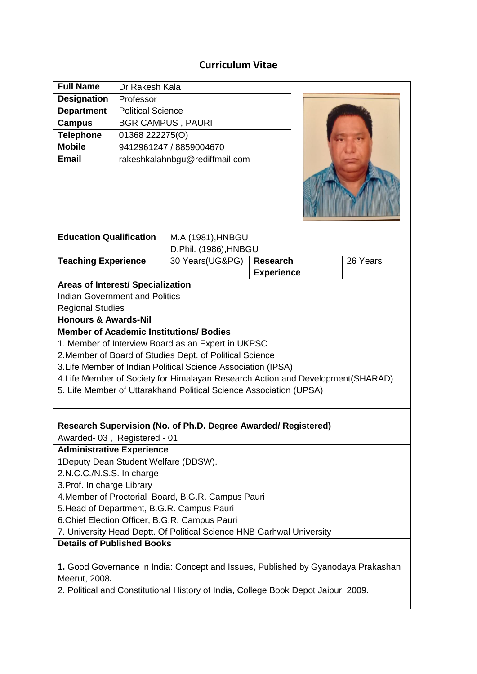# **Curriculum Vitae**

| <b>Full Name</b>                                                                                                                                                                         | Dr Rakesh Kala                 |                       |                   |  |          |
|------------------------------------------------------------------------------------------------------------------------------------------------------------------------------------------|--------------------------------|-----------------------|-------------------|--|----------|
| <b>Designation</b>                                                                                                                                                                       | Professor                      |                       |                   |  |          |
| <b>Department</b>                                                                                                                                                                        | <b>Political Science</b>       |                       |                   |  |          |
| <b>Campus</b>                                                                                                                                                                            | <b>BGR CAMPUS, PAURI</b>       |                       |                   |  |          |
| <b>Telephone</b>                                                                                                                                                                         | 01368 222275(O)                |                       |                   |  |          |
| <b>Mobile</b>                                                                                                                                                                            | 9412961247 / 8859004670        |                       |                   |  |          |
| <b>Email</b>                                                                                                                                                                             | rakeshkalahnbgu@rediffmail.com |                       |                   |  |          |
|                                                                                                                                                                                          |                                |                       |                   |  |          |
| <b>Education Qualification</b>                                                                                                                                                           |                                | M.A.(1981), HNBGU     |                   |  |          |
|                                                                                                                                                                                          |                                | D.Phil. (1986), HNBGU |                   |  |          |
| <b>Teaching Experience</b>                                                                                                                                                               |                                | 30 Years(UG&PG)       | <b>Research</b>   |  | 26 Years |
|                                                                                                                                                                                          |                                |                       | <b>Experience</b> |  |          |
| <b>Areas of Interest/ Specialization</b>                                                                                                                                                 |                                |                       |                   |  |          |
| <b>Indian Government and Politics</b>                                                                                                                                                    |                                |                       |                   |  |          |
| <b>Regional Studies</b><br>Honours & Awards-Nil                                                                                                                                          |                                |                       |                   |  |          |
| <b>Member of Academic Institutions/ Bodies</b>                                                                                                                                           |                                |                       |                   |  |          |
| 1. Member of Interview Board as an Expert in UKPSC                                                                                                                                       |                                |                       |                   |  |          |
| 2. Member of Board of Studies Dept. of Political Science                                                                                                                                 |                                |                       |                   |  |          |
| 3. Life Member of Indian Political Science Association (IPSA)                                                                                                                            |                                |                       |                   |  |          |
| 4. Life Member of Society for Himalayan Research Action and Development (SHARAD)                                                                                                         |                                |                       |                   |  |          |
| 5. Life Member of Uttarakhand Political Science Association (UPSA)                                                                                                                       |                                |                       |                   |  |          |
|                                                                                                                                                                                          |                                |                       |                   |  |          |
|                                                                                                                                                                                          |                                |                       |                   |  |          |
| Research Supervision (No. of Ph.D. Degree Awarded/ Registered)<br>Awarded-03, Registered - 01                                                                                            |                                |                       |                   |  |          |
| <b>Administrative Experience</b>                                                                                                                                                         |                                |                       |                   |  |          |
| 1Deputy Dean Student Welfare (DDSW).                                                                                                                                                     |                                |                       |                   |  |          |
| 2.N.C.C./N.S.S. In charge                                                                                                                                                                |                                |                       |                   |  |          |
| 3. Prof. In charge Library                                                                                                                                                               |                                |                       |                   |  |          |
| 4. Member of Proctorial Board, B.G.R. Campus Pauri                                                                                                                                       |                                |                       |                   |  |          |
| 5. Head of Department, B.G.R. Campus Pauri                                                                                                                                               |                                |                       |                   |  |          |
| 6. Chief Election Officer, B.G.R. Campus Pauri                                                                                                                                           |                                |                       |                   |  |          |
| 7. University Head Deptt. Of Political Science HNB Garhwal University                                                                                                                    |                                |                       |                   |  |          |
| <b>Details of Published Books</b>                                                                                                                                                        |                                |                       |                   |  |          |
| 1. Good Governance in India: Concept and Issues, Published by Gyanodaya Prakashan<br>Meerut, 2008.<br>2. Political and Constitutional History of India, College Book Depot Jaipur, 2009. |                                |                       |                   |  |          |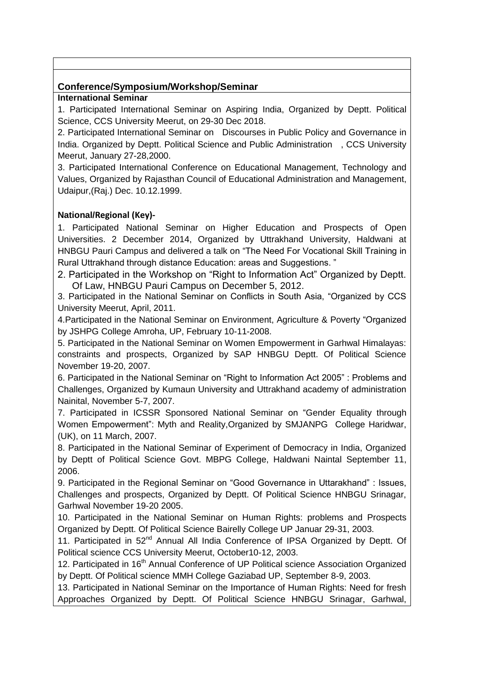## **Conference/Symposium/Workshop/Seminar**

#### **International Seminar**

1. Participated International Seminar on Aspiring India, Organized by Deptt. Political Science, CCS University Meerut, on 29-30 Dec 2018.

2. Participated International Seminar on Discourses in Public Policy and Governance in India. Organized by Deptt. Political Science and Public Administration , CCS University Meerut, January 27-28,2000.

3. Participated International Conference on Educational Management, Technology and Values, Organized by Rajasthan Council of Educational Administration and Management, Udaipur,(Raj.) Dec. 10.12.1999.

## **National/Regional (Key)-**

1. Participated National Seminar on Higher Education and Prospects of Open Universities. 2 December 2014, Organized by Uttrakhand University, Haldwani at HNBGU Pauri Campus and delivered a talk on "The Need For Vocational Skill Training in Rural Uttrakhand through distance Education: areas and Suggestions. "

2. Participated in the Workshop on "Right to Information Act" Organized by Deptt. Of Law, HNBGU Pauri Campus on December 5, 2012.

3. Participated in the National Seminar on Conflicts in South Asia, "Organized by CCS University Meerut, April, 2011.

4.Participated in the National Seminar on Environment, Agriculture & Poverty "Organized by JSHPG College Amroha, UP, February 10-11-2008.

5. Participated in the National Seminar on Women Empowerment in Garhwal Himalayas: constraints and prospects, Organized by SAP HNBGU Deptt. Of Political Science November 19-20, 2007.

6. Participated in the National Seminar on "Right to Information Act 2005" : Problems and Challenges, Organized by Kumaun University and Uttrakhand academy of administration Nainital, November 5-7, 2007.

7. Participated in ICSSR Sponsored National Seminar on "Gender Equality through Women Empowerment": Myth and Reality,Organized by SMJANPG College Haridwar, (UK), on 11 March, 2007.

8. Participated in the National Seminar of Experiment of Democracy in India, Organized by Deptt of Political Science Govt. MBPG College, Haldwani Naintal September 11, 2006.

9. Participated in the Regional Seminar on "Good Governance in Uttarakhand" : Issues, Challenges and prospects, Organized by Deptt. Of Political Science HNBGU Srinagar, Garhwal November 19-20 2005.

10. Participated in the National Seminar on Human Rights: problems and Prospects Organized by Deptt. Of Political Science Bairelly College UP Januar 29-31, 2003.

11. Participated in 52<sup>nd</sup> Annual All India Conference of IPSA Organized by Deptt. Of Political science CCS University Meerut, October10-12, 2003.

12. Participated in 16<sup>th</sup> Annual Conference of UP Political science Association Organized by Deptt. Of Political science MMH College Gaziabad UP, September 8-9, 2003.

13. Participated in National Seminar on the Importance of Human Rights: Need for fresh Approaches Organized by Deptt. Of Political Science HNBGU Srinagar, Garhwal,